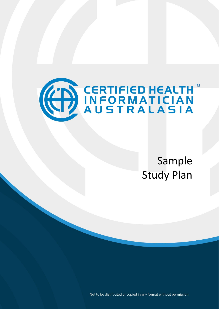

Sample Study Plan

Not to be distributed or copied in any format without permission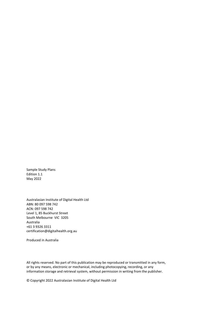Sample Study Plans Edition 1.1 May 2022

Australasian Institute of Digital Health Ltd ABN: 80 097 598 742 ACN: 097 598 742 Level 1, 85 Buckhurst Street South Melbourne VIC 3205 Australia +61 3 9326 3311 certification@digitalhealth.org.au

Produced in Australia

All rights reserved. No part of this publication may be reproduced or transmitted in any form, or by any means, electronic or mechanical, including photocopying, recording, or any information storage and retrieval system, without permission in writing from the publisher.

© Copyright 2022 Australasian Institute of Digital Health Ltd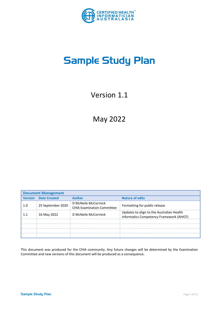

# Sample Study Plan

Version 1.1

May 2022

|                | <b>Document Management</b> |                                                          |                                                                                       |  |  |  |  |
|----------------|----------------------------|----------------------------------------------------------|---------------------------------------------------------------------------------------|--|--|--|--|
| <b>Version</b> | <b>Date Created</b>        | <b>Author</b>                                            | <b>Nature of edits</b>                                                                |  |  |  |  |
| 1.0            | 25 September 2020          | D McNeile McCormick<br><b>CHIA Examination Committee</b> | Formatting for public release                                                         |  |  |  |  |
| 1.1            | 16 May 2022                | D McNeile McCormick                                      | Updates to align to the Australian Health<br>Informatics Competency Framework (AHICF) |  |  |  |  |
|                |                            |                                                          |                                                                                       |  |  |  |  |
|                |                            |                                                          |                                                                                       |  |  |  |  |
|                |                            |                                                          |                                                                                       |  |  |  |  |
|                |                            |                                                          |                                                                                       |  |  |  |  |

This document was produced for the CHIA community. Any future changes will be determined by the Examination Committee and new versions of this document will be produced as a consequence.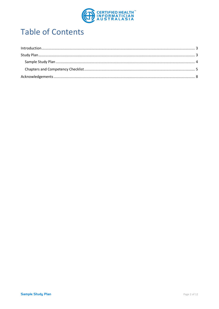

# **Table of Contents**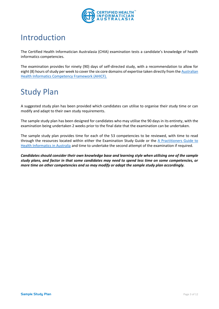

### <span id="page-4-0"></span>Introduction

The Certified Health Informatician Australasia (CHIA) examination tests a candidate's knowledge of health informatics competencies.

The examination provides for ninety (90) days of self-directed study, with a recommendation to allow for eight (8) hours of study per week to cover the six core domains of expertise taken directly from th[e Australian](https://digitalhealth.org.au/wp-content/uploads/2022/05/AHICF_Competency-Framework_final.pdf)  [Health Informatics Competency Framework \(AHICF\).](https://digitalhealth.org.au/wp-content/uploads/2022/05/AHICF_Competency-Framework_final.pdf)

# <span id="page-4-1"></span>Study Plan

A suggested study plan has been provided which candidates can utilise to organise their study time or can modify and adapt to their own study requirements.

The sample study plan has been designed for candidates who may utilise the 90 days in its entirety, with the examination being undertaken 2 weeks prior to the final date that the examination can be undertaken.

The sample study plan provides time for each of the 53 competencies to be reviewed, with time to read through the resources located within either the Examination Study Guide or the [A Practitioners Guide to](https://www.healthinformaticscertification.com/products/)  [Health Informatics in Australia](https://www.healthinformaticscertification.com/products/) and time to undertake the second attempt of the examination if required.

*Candidates should consider their own knowledge base and learning style when utilising one of the sample study plans, and factor in that some candidates may need to spend less time on some competencies, or more time on other competencies and so may modify or adapt the sample study plan accordingly.*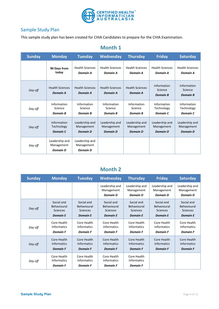

#### <span id="page-5-0"></span>Sample Study Plan

This sample study plan has been created for CHIA Candidates to prepare for the CHIA Examination.

| <b>Sunday</b> | <b>Monday</b>                                   | <b>Tuesday</b>                                  | Wednesday                                 | <b>Thursday</b>                           | <b>Friday</b>                             | <b>Saturday</b>                           |
|---------------|-------------------------------------------------|-------------------------------------------------|-------------------------------------------|-------------------------------------------|-------------------------------------------|-------------------------------------------|
|               | 90 Days from                                    | <b>Health Sciences</b>                          | <b>Health Sciences</b>                    | <b>Health Sciences</b>                    | <b>Health Sciences</b>                    | <b>Health Sciences</b>                    |
|               | today                                           | Domain A                                        | Domain A                                  | Domain A                                  | <b>Domain A</b>                           | Domain A                                  |
| Day off       | <b>Health Sciences</b><br><b>Domain A</b>       | <b>Health Sciences</b><br><b>Domain A</b>       | <b>Health Sciences</b><br><b>Domain A</b> | <b>Health Sciences</b><br><b>Domain A</b> | Information<br>Science<br><b>Domain B</b> | Information<br>Science<br><b>Domain B</b> |
| Day off       | Information                                     | Information                                     | Information                               | Information                               | Information                               | Information                               |
|               | Science                                         | Science                                         | Science                                   | Science                                   | Technology                                | Technology                                |
|               | <b>Domain B</b>                                 | <b>Domain B</b>                                 | <b>Domain B</b>                           | <b>Domain B</b>                           | Domain C                                  | Domain C                                  |
| Day off       | Information                                     | Leadership and                                  | Leadership and                            | Leadership and                            | Leadership and                            | Leadership and                            |
|               | Technology                                      | Management                                      | Management                                | Management                                | Management                                | Management                                |
|               | Domain C                                        | <b>Domain D</b>                                 | <b>Domain D</b>                           | <b>Domain D</b>                           | <b>Domain D</b>                           | <b>Domain D</b>                           |
| Day off       | Leadership and<br>Management<br><b>Domain D</b> | Leadership and<br>Management<br><b>Domain D</b> |                                           |                                           |                                           |                                           |

#### **Month 1**

### **Month 2**

| <b>Sunday</b> | <b>Monday</b>                                        | <b>Tuesday</b>                                       | Wednesday                                            | <b>Thursday</b>                                      | <b>Friday</b>                                   | <b>Saturday</b>                                 |
|---------------|------------------------------------------------------|------------------------------------------------------|------------------------------------------------------|------------------------------------------------------|-------------------------------------------------|-------------------------------------------------|
|               |                                                      |                                                      | Leadership and<br>Management<br><b>Domain D</b>      | Leadership and<br>Management<br><b>Domain D</b>      | Leadership and<br>Management<br><b>Domain D</b> | Leadership and<br>Management<br><b>Domain D</b> |
| Day off       | Social and                                           | Social and                                           | Social and                                           | Social and                                           | Social and                                      | Social and                                      |
|               | Behavioural                                          | Behavioural                                          | Behavioural                                          | Behavioural                                          | Behavioural                                     | Behavioural                                     |
|               | <b>Sciences</b>                                      | Sciences                                             | <b>Sciences</b>                                      | <b>Sciences</b>                                      | Sciences                                        | <b>Sciences</b>                                 |
|               | <b>Domain E</b>                                      | <b>Domain E</b>                                      | <b>Domain E</b>                                      | <b>Domain E</b>                                      | <b>Domain E</b>                                 | <b>Domain E</b>                                 |
| Day off       | Core Health                                          | Core Health                                          | Core Health                                          | Core Health                                          | Core Health                                     | Core Health                                     |
|               | <b>Informatics</b>                                   | <b>Informatics</b>                                   | <b>Informatics</b>                                   | <b>Informatics</b>                                   | <b>Informatics</b>                              | <b>Informatics</b>                              |
|               | <b>Domain F</b>                                      | <b>Domain F</b>                                      | <b>Domain F</b>                                      | <b>Domain F</b>                                      | <b>Domain F</b>                                 | <b>Domain F</b>                                 |
| Day off       | Core Health                                          | Core Health                                          | Core Health                                          | Core Health                                          | Core Health                                     | Core Health                                     |
|               | <b>Informatics</b>                                   | <b>Informatics</b>                                   | <b>Informatics</b>                                   | <b>Informatics</b>                                   | <b>Informatics</b>                              | <b>Informatics</b>                              |
|               | <b>Domain F</b>                                      | <b>Domain F</b>                                      | <b>Domain F</b>                                      | <b>Domain F</b>                                      | <b>Domain F</b>                                 | <b>Domain F</b>                                 |
| Day off       | Core Health<br><b>Informatics</b><br><b>Domain F</b> | Core Health<br><b>Informatics</b><br><b>Domain F</b> | Core Health<br><b>Informatics</b><br><b>Domain F</b> | Core Health<br><b>Informatics</b><br><b>Domain F</b> |                                                 |                                                 |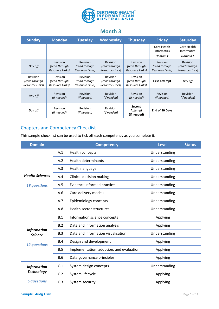

### **Month 3**

| <b>Sunday</b>                                | <b>Monday</b>                                       | <b>Tuesday</b>                               | Wednesday                                           | <b>Thursday</b>                                     | <b>Friday</b>                                | <b>Saturday</b>                                     |
|----------------------------------------------|-----------------------------------------------------|----------------------------------------------|-----------------------------------------------------|-----------------------------------------------------|----------------------------------------------|-----------------------------------------------------|
|                                              |                                                     |                                              |                                                     |                                                     | Core Health<br><b>Informatics</b>            | Core Health<br><b>Informatics</b>                   |
|                                              |                                                     |                                              |                                                     |                                                     | <b>Domain F</b>                              | <b>Domain F</b>                                     |
| Day off                                      | <b>Revision</b><br>(read through<br>Resource Links) | Revision<br>(read through<br>Resource Links) | <b>Revision</b><br>(read through<br>Resource Links) | <b>Revision</b><br>(read through<br>Resource Links) | Revision<br>(read through<br>Resource Links) | <b>Revision</b><br>(read through<br>Resource Links) |
| Revision<br>(read through<br>Resource Links) | Revision<br>(read through<br>Resource Links)        | Revision<br>(read through<br>Resource Links) | Revision<br>(read through<br>Resource Links)        | Revision<br>(read through<br>Resource Links)        | <b>First Attempt</b>                         | Day off                                             |
| Day off                                      | <b>Revision</b><br>(if needed)                      | Revision<br>(if needed)                      | <b>Revision</b><br>(if needed)                      | <b>Revision</b><br>(if needed)                      | Revision<br>(if needed)                      | <b>Revision</b><br>(if needed)                      |
| Day off                                      | <b>Revision</b><br>(if needed)                      | Revision<br>(if needed)                      | Revision<br>(if needed)                             | Second<br>Attempt<br>(if needed)                    | End of 90 Days                               |                                                     |

### <span id="page-6-0"></span>Chapters and Competency Checklist

This sample check list can be used to tick off each competency as you complete it.

| <b>Domain</b>                        |            | <b>Competency</b>                        | <b>Level</b>  | <b>Status</b> |
|--------------------------------------|------------|------------------------------------------|---------------|---------------|
|                                      | A.1        | Health concepts                          | Understanding |               |
|                                      | A.2        | <b>Health determinants</b>               | Understanding |               |
|                                      | A.3        | Health language                          | Understanding |               |
| <b>Health Sciences</b>               | A.4        | Clinical decision making                 | Understanding |               |
| <b>16 questions</b>                  | A.5        | Evidence informed practice               | Understanding |               |
|                                      | A.6        | Care delivery models                     | Understanding |               |
|                                      | A.7        | Epidemiology concepts                    | Understanding |               |
|                                      | A.8        | Health sector structures                 | Understanding |               |
|                                      | B.1        | Information science concepts             | Applying      |               |
|                                      | B.2        | Data and information analysis            | Applying      |               |
| <b>Information</b><br><b>Science</b> | B.3        | Data and information visualisation       | Understanding |               |
| <b>12 questions</b>                  | B.4        | Design and development                   | Applying      |               |
|                                      | B.5        | Implementation, adoption, and evaluation | Applying      |               |
|                                      | <b>B.6</b> | Data governance principles               | Applying      |               |
| <b>Information</b>                   | C.1        | System design concepts                   | Understanding |               |
| <b>Technology</b>                    | C.2        | System lifecycle                         | Applying      |               |
| <b>6 questions</b>                   | C.3        | System security                          | Applying      |               |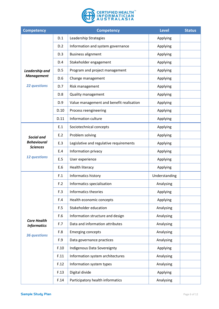

| <b>Competency</b>                        |      | <b>Competency</b>                        | <b>Level</b>  | <b>Status</b> |
|------------------------------------------|------|------------------------------------------|---------------|---------------|
|                                          | D.1  | Leadership Strategies                    | Applying      |               |
|                                          | D.2  | Information and system governance        | Applying      |               |
|                                          | D.3  | <b>Business alignment</b>                | Applying      |               |
|                                          | D.4  | Stakeholder engagement                   | Applying      |               |
| Leadership and                           | D.5  | Program and project management           | Applying      |               |
| <b>Management</b>                        | D.6  | Change management                        | Applying      |               |
| <b>22 questions</b>                      | D.7  | Risk management                          | Applying      |               |
|                                          | D.8  | <b>Quality management</b>                | Applying      |               |
|                                          | D.9  | Value management and benefit realisation | Applying      |               |
|                                          | D.10 | Process reengineering                    | Applying      |               |
|                                          | D.11 | Information culture                      | Applying      |               |
|                                          | E.1  | Sociotechnical concepts                  | Applying      |               |
| <b>Social and</b>                        | E.2  | Problem solving                          | Applying      |               |
| <b>Behavioural</b><br><b>Sciences</b>    | E.3  | Legislative and regulative requirements  | Applying      |               |
|                                          | E.4  | Information privacy                      | Applying      |               |
| <b>12 questions</b>                      | E.5  | User experience                          | Applying      |               |
|                                          | E.6  | Health literacy                          | Applying      |               |
|                                          | F.1  | Informatics history                      | Understanding |               |
|                                          | F.2  | Informatics specialisation               | Analysing     |               |
|                                          | F.3  | Informatics theories                     | Applying      |               |
|                                          | F.4  | Health economic concepts                 | Applying      |               |
|                                          | F.5  | Stakeholder education                    | Analysing     |               |
|                                          | F.6  | Information structure and design         | Analysing     |               |
| <b>Core Health</b><br><b>Informatics</b> | F.7  | Data and information attributes          | Analysing     |               |
| <b>36 questions</b>                      | F.8  | <b>Emerging concepts</b>                 | Analysing     |               |
|                                          | F.9  | Data governance practices                | Analysing     |               |
|                                          | F.10 | Indigenous Data Sovereignty              | Applying      |               |
|                                          | F.11 | Information system architectures         | Analysing     |               |
|                                          | F.12 | Information system types                 | Analysing     |               |
|                                          | F.13 | Digital divide                           | Applying      |               |
|                                          | F.14 | Participatory health informatics         | Analysing     |               |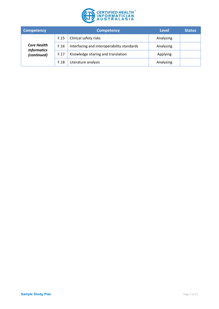

| <b>Competency</b>                 |      | <b>Competency</b>                          | <b>Level</b> | <b>Status</b> |
|-----------------------------------|------|--------------------------------------------|--------------|---------------|
|                                   | F.15 | Clinical safety risks                      | Analysing    |               |
| <b>Core Health</b>                | F.16 | Interfacing and interoperability standards | Analysing    |               |
| <b>Informatics</b><br>(continued) | F.17 | Knowledge sharing and translation          | Applying     |               |
|                                   | F.18 | Literature analysis                        | Analysing    |               |